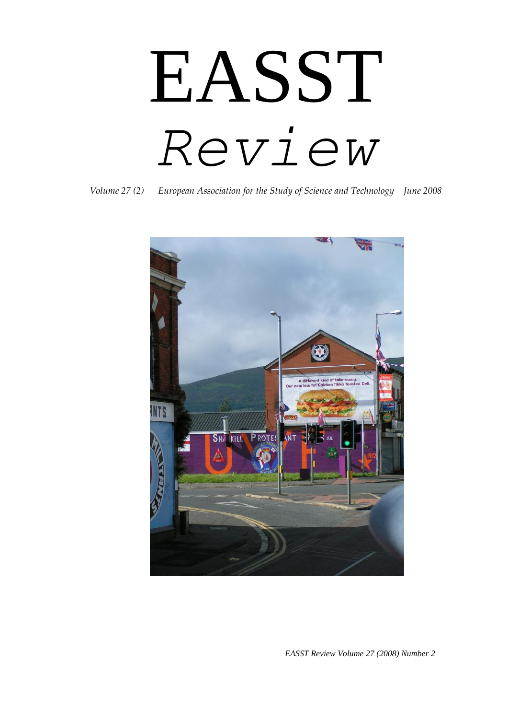# EASST *Review*

*Volume 27 (2) European Association for the Study of Science and Technology June 2008*



*EASST Review Volume 27 (2008) Number 2*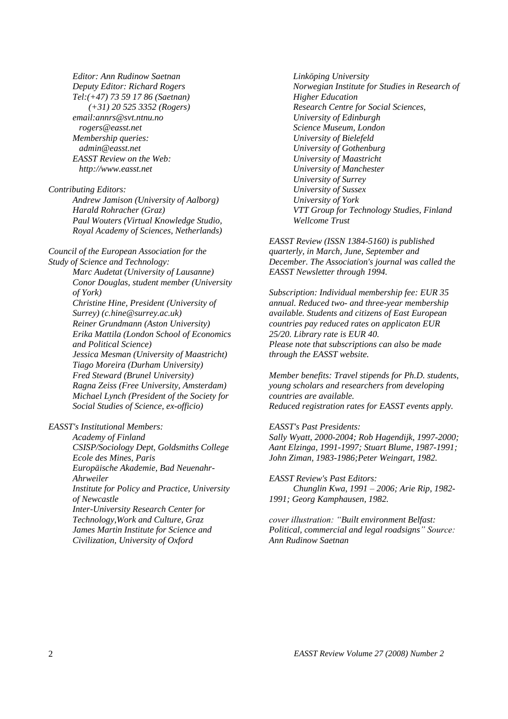*Editor: Ann Rudinow Saetnan Deputy Editor: Richard Rogers Tel:(+47) 73 59 17 86 (Saetnan) (+31) 20 525 3352 (Rogers) email:annrs@svt.ntnu.no rogers@easst.net Membership queries: admin@easst.net EASST Review on the Web: http://www.easst.net*

*Contributing Editors:* 

*Andrew Jamison (University of Aalborg) Harald Rohracher (Graz) Paul Wouters (Virtual Knowledge Studio, Royal Academy of Sciences, Netherlands)* 

*Council of the European Association for the Study of Science and Technology: Marc Audetat (University of Lausanne) Conor Douglas, student member (University of York) Christine Hine, President (University of Surrey) (c.hine@surrey.ac.uk) Reiner Grundmann (Aston University) Erika Mattila (London School of Economics and Political Science) Jessica Mesman (University of Maastricht) Tiago Moreira (Durham University) Fred Steward (Brunel University) Ragna Zeiss (Free University, Amsterdam) Michael Lynch (President of the Society for Social Studies of Science, ex-officio)* 

*EASST's Institutional Members:* 

*Academy of Finland CSISP/Sociology Dept, Goldsmiths College Ecole des Mines, Paris Europäische Akademie, Bad Neuenahr-Ahrweiler Institute for Policy and Practice, University of Newcastle Inter-University Research Center for Technology,Work and Culture, Graz James Martin Institute for Science and Civilization, University of Oxford* 

*Linköping University Norwegian Institute for Studies in Research of Higher Education Research Centre for Social Sciences, University of Edinburgh Science Museum, London University of Bielefeld University of Gothenburg University of Maastricht University of Manchester University of Surrey University of Sussex University of York VTT Group for Technology Studies, Finland Wellcome Trust* 

*EASST Review (ISSN 1384-5160) is published quarterly, in March, June, September and December. The Association's journal was called the EASST Newsletter through 1994.* 

*Subscription: Individual membership fee: EUR 35 annual. Reduced two- and three-year membership available. Students and citizens of East European countries pay reduced rates on applicaton EUR 25/20. Library rate is EUR 40. Please note that subscriptions can also be made through the EASST website.* 

*Member benefits: Travel stipends for Ph.D. students, young scholars and researchers from developing countries are available. Reduced registration rates for EASST events apply.* 

#### *EASST's Past Presidents:*

*Sally Wyatt, 2000-2004; Rob Hagendijk, 1997-2000; Aant Elzinga, 1991-1997; Stuart Blume, 1987-1991; John Ziman, 1983-1986;Peter Weingart, 1982.* 

*EASST Review's Past Editors: Chunglin Kwa, 1991 – 2006; Arie Rip, 1982- 1991; Georg Kamphausen, 1982.*

*cover illustration: "Built environment Belfast: Political, commercial and legal roadsigns" Source: Ann Rudinow Saetnan*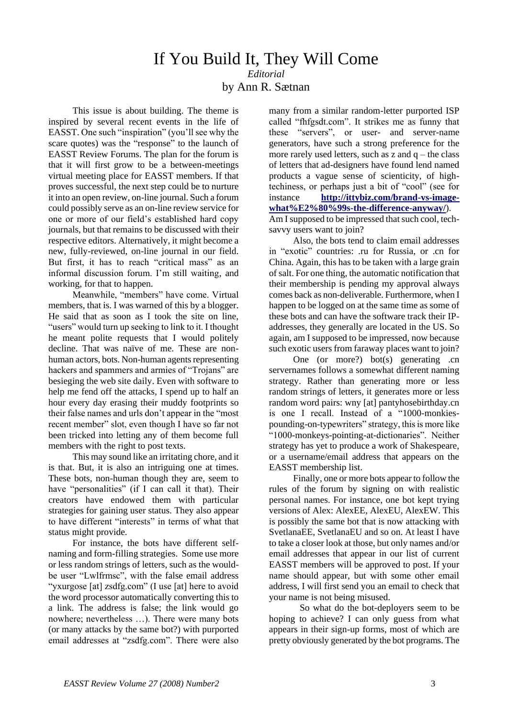## If You Build It, They Will Come *Editorial* by Ann R. Sætnan

This issue is about building. The theme is inspired by several recent events in the life of EASST. One such "inspiration" (you"ll see why the scare quotes) was the "response" to the launch of EASST Review Forums. The plan for the forum is that it will first grow to be a between-meetings virtual meeting place for EASST members. If that proves successful, the next step could be to nurture it into an open review, on-line journal. Such a forum could possibly serve as an on-line review service for one or more of our field"s established hard copy journals, but that remains to be discussed with their respective editors. Alternatively, it might become a new, fully-reviewed, on-line journal in our field. But first, it has to reach "critical mass" as an informal discussion forum. I"m still waiting, and working, for that to happen.

Meanwhile, "members" have come. Virtual members, that is. I was warned of this by a blogger. He said that as soon as I took the site on line, "users" would turn up seeking to link to it. I thought he meant polite requests that I would politely decline. That was naïve of me. These are nonhuman actors, bots. Non-human agents representing hackers and spammers and armies of "Trojans" are besieging the web site daily. Even with software to help me fend off the attacks, I spend up to half an hour every day erasing their muddy footprints so their false names and urls don"t appear in the "most recent member" slot, even though I have so far not been tricked into letting any of them become full members with the right to post texts.

This may sound like an irritating chore, and it is that. But, it is also an intriguing one at times. These bots, non-human though they are, seem to have "personalities" (if I can call it that). Their creators have endowed them with particular strategies for gaining user status. They also appear to have different "interests" in terms of what that status might provide.

For instance, the bots have different selfnaming and form-filling strategies. Some use more or less random strings of letters, such as the wouldbe user "Lwlfrmsc", with the false email address "yxurgose [at] zsdfg.com" (I use [at] here to avoid the word processor automatically converting this to a link. The address is false; the link would go nowhere; nevertheless …). There were many bots (or many attacks by the same bot?) with purported email addresses at "zsdfg.com". There were also

many from a similar random-letter purported ISP called "fhfgsdt.com". It strikes me as funny that these "servers", or user- and server-name generators, have such a strong preference for the more rarely used letters, such as  $z$  and  $q$  – the class of letters that ad-designers have found lend named products a vague sense of scienticity, of hightechiness, or perhaps just a bit of "cool" (see for instance **[http://ittybiz.com/brand-vs-image](http://ittybiz.com/brand-vs-image-what%E2%80%99s-the-difference-anyway/)[what%E2%80%99s-the-difference-anyway/](http://ittybiz.com/brand-vs-image-what%E2%80%99s-the-difference-anyway/)**). Am I supposed to be impressed that such cool, techsay v users want to join?

Also, the bots tend to claim email addresses in "exotic" countries: .ru for Russia, or .cn for China. Again, this has to be taken with a large grain of salt. For one thing, the automatic notification that their membership is pending my approval always comes back as non-deliverable. Furthermore, when I happen to be logged on at the same time as some of these bots and can have the software track their IPaddresses, they generally are located in the US. So again, am I supposed to be impressed, now because such exotic users from faraway places want to join?

One (or more?) bot(s) generating .cn servernames follows a somewhat different naming strategy. Rather than generating more or less random strings of letters, it generates more or less random word pairs: wny [at] pantyhosebirthday.cn is one I recall. Instead of a "1000-monkiespounding-on-typewriters" strategy, this is more like "1000-monkeys-pointing-at-dictionaries". Neither strategy has yet to produce a work of Shakespeare, or a username/email address that appears on the EASST membership list.

Finally, one or more bots appear to follow the rules of the forum by signing on with realistic personal names. For instance, one bot kept trying versions of Alex: AlexEE, AlexEU, AlexEW. This is possibly the same bot that is now attacking with SvetlanaEE, SvetlanaEU and so on. At least I have to take a closer look at those, but only names and/or email addresses that appear in our list of current EASST members will be approved to post. If your name should appear, but with some other email address, I will first send you an email to check that your name is not being misused.

So what do the bot-deployers seem to be hoping to achieve? I can only guess from what appears in their sign-up forms, most of which are pretty obviously generated by the bot programs. The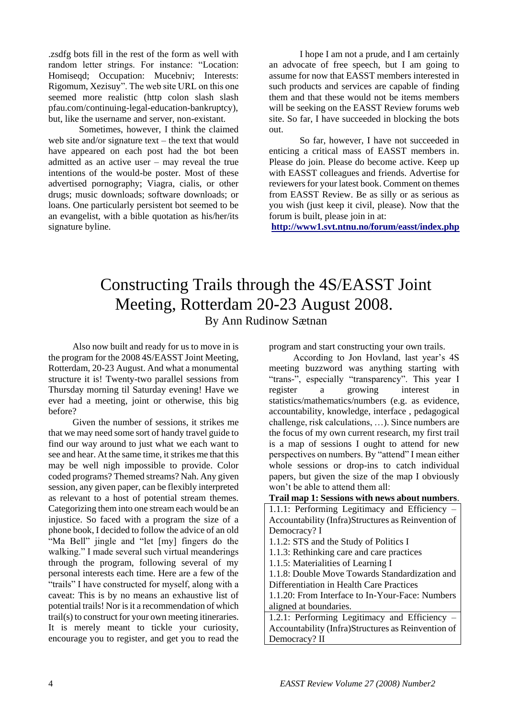.zsdfg bots fill in the rest of the form as well with random letter strings. For instance: "Location: Homiseqd; Occupation: Mucebniv; Interests: Rigomum, Xezisuy". The web site URL on this one seemed more realistic (http colon slash slash pfau.com/continuing-legal-education-bankruptcy), but, like the username and server, non-existant.

Sometimes, however, I think the claimed web site and/or signature text – the text that would have appeared on each post had the bot been admitted as an active user – may reveal the true intentions of the would-be poster. Most of these advertised pornography; Viagra, cialis, or other drugs; music downloads; software downloads; or loans. One particularly persistent bot seemed to be an evangelist, with a bible quotation as his/her/its signature byline.

I hope I am not a prude, and I am certainly an advocate of free speech, but I am going to assume for now that EASST members interested in such products and services are capable of finding them and that these would not be items members will be seeking on the EASST Review forums web site. So far, I have succeeded in blocking the bots out.

So far, however, I have not succeeded in enticing a critical mass of EASST members in. Please do join. Please do become active. Keep up with EASST colleagues and friends. Advertise for reviewers for your latest book. Comment on themes from EASST Review. Be as silly or as serious as you wish (just keep it civil, please). Now that the forum is built, please join in at:

**<http://www1.svt.ntnu.no/forum/easst/index.php>**

# Constructing Trails through the 4S/EASST Joint Meeting, Rotterdam 20-23 August 2008. By Ann Rudinow Sætnan

Also now built and ready for us to move in is the program for the 2008 4S/EASST Joint Meeting, Rotterdam, 20-23 August. And what a monumental structure it is! Twenty-two parallel sessions from Thursday morning til Saturday evening! Have we ever had a meeting, joint or otherwise, this big before?

Given the number of sessions, it strikes me that we may need some sort of handy travel guide to find our way around to just what we each want to see and hear. At the same time, it strikes me that this may be well nigh impossible to provide. Color coded programs? Themed streams? Nah. Any given session, any given paper, can be flexibly interpreted as relevant to a host of potential stream themes. Categorizing them into one stream each would be an injustice. So faced with a program the size of a phone book, I decided to follow the advice of an old "Ma Bell" jingle and "let [my] fingers do the walking." I made several such virtual meanderings through the program, following several of my personal interests each time. Here are a few of the "trails" I have constructed for myself, along with a caveat: This is by no means an exhaustive list of potential trails! Nor is it a recommendation of which trail(s) to construct for your own meeting itineraries. It is merely meant to tickle your curiosity, encourage you to register, and get you to read the

program and start constructing your own trails.

According to Jon Hovland, last year"s 4S meeting buzzword was anything starting with "trans-", especially "transparency". This year I register a growing interest in statistics/mathematics/numbers (e.g. as evidence, accountability, knowledge, interface , pedagogical challenge, risk calculations, …). Since numbers are the focus of my own current research, my first trail is a map of sessions I ought to attend for new perspectives on numbers. By "attend" I mean either whole sessions or drop-ins to catch individual papers, but given the size of the map I obviously won"t be able to attend them all:

#### **Trail map 1: Sessions with news about numbers**.

| 1.1.1: Performing Legitimacy and Efficiency -      |
|----------------------------------------------------|
| Accountability (Infra)Structures as Reinvention of |
| Democracy? I                                       |
| 1.1.2: STS and the Study of Politics I             |
| 1.1.3: Rethinking care and care practices          |
| 1.1.5: Materialities of Learning I                 |
| 1.1.8: Double Move Towards Standardization and     |
| Differentiation in Health Care Practices           |
| 1.1.20: From Interface to In-Your-Face: Numbers    |
| aligned at boundaries.                             |
| 1.2.1: Performing Legitimacy and Efficiency -      |
| Accountability (Infra)Structures as Reinvention of |
| Democracy? II                                      |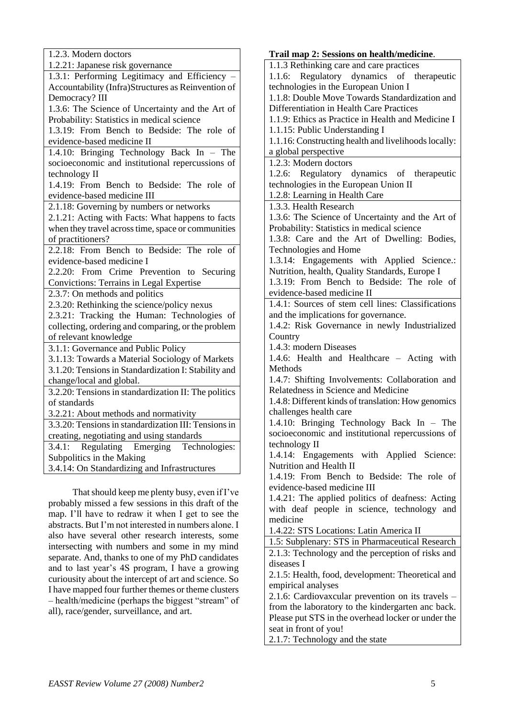| 1.2.3. Modern doctors                                |
|------------------------------------------------------|
| 1.2.21: Japanese risk governance                     |
| 1.3.1: Performing Legitimacy and Efficiency          |
| Accountability (Infra)Structures as Reinvention of   |
| Democracy? III                                       |
| 1.3.6: The Science of Uncertainty and the Art of     |
| Probability: Statistics in medical science           |
| 1.3.19: From Bench to Bedside: The role of           |
| evidence-based medicine II                           |
| 1.4.10: Bringing Technology Back In - The            |
| socioeconomic and institutional repercussions of     |
| technology II                                        |
| 1.4.19: From Bench to Bedside: The role of           |
| evidence-based medicine III                          |
| 2.1.18: Governing by numbers or networks             |
| 2.1.21: Acting with Facts: What happens to facts     |
| when they travel across time, space or communities   |
| of practitioners?                                    |
| 2.2.18: From Bench to Bedside: The role of           |
| evidence-based medicine I                            |
| 2.2.20: From Crime Prevention to Securing            |
| <b>Convictions: Terrains in Legal Expertise</b>      |
| 2.3.7: On methods and politics                       |
| 2.3.20: Rethinking the science/policy nexus          |
| 2.3.21: Tracking the Human: Technologies of          |
| collecting, ordering and comparing, or the problem   |
| of relevant knowledge                                |
| 3.1.1: Governance and Public Policy                  |
| 3.1.13: Towards a Material Sociology of Markets      |
| 3.1.20: Tensions in Standardization I: Stability and |
| change/local and global.                             |
| 3.2.20: Tensions in standardization II: The politics |
| of standards                                         |
| 3.2.21: About methods and normativity                |
| 3.3.20: Tensions in standardization III: Tensions in |
| creating, negotiating and using standards            |
| Regulating Emerging Technologies:<br>3.4.1:          |
| Subpolitics in the Making                            |
| 3.4.14: On Standardizing and Infrastructures         |
|                                                      |
|                                                      |

That should keep me plenty busy, even if I"ve probably missed a few sessions in this draft of the map. I"ll have to redraw it when I get to see the abstracts. But I"m not interested in numbers alone. I also have several other research interests, some intersecting with numbers and some in my mind separate. And, thanks to one of my PhD candidates and to last year"s 4S program, I have a growing curiousity about the intercept of art and science. So I have mapped four further themes or theme clusters – health/medicine (perhaps the biggest "stream" of all), race/gender, surveillance, and art.

**Trail map 2: Sessions on health/medicine**. 1.1.3 Rethinking care and care practices 1.1.6: Regulatory dynamics of therapeutic technologies in the European Union I 1.1.8: Double Move Towards Standardization and Differentiation in Health Care Practices 1.1.9: Ethics as Practice in Health and Medicine I 1.1.15: Public Understanding I 1.1.16: Constructing health and livelihoods locally: a global perspective 1.2.3: Modern doctors 1.2.6: Regulatory dynamics of therapeutic technologies in the European Union II 1.2.8: Learning in Health Care 1.3.3. Health Research 1.3.6: The Science of Uncertainty and the Art of Probability: Statistics in medical science 1.3.8: Care and the Art of Dwelling: Bodies, Technologies and Home 1.3.14: Engagements with Applied Science.: Nutrition, health, Quality Standards, Europe I 1.3.19: From Bench to Bedside: The role of evidence-based medicine II 1.4.1: Sources of stem cell lines: Classifications and the implications for governance. 1.4.2: Risk Governance in newly Industrialized **Country** 1.4.3: modern Diseases 1.4.6: Health and Healthcare – Acting with Methods 1.4.7: Shifting Involvements: Collaboration and Relatedness in Science and Medicine 1.4.8: Different kinds of translation: How genomics challenges health care 1.4.10: Bringing Technology Back In – The socioeconomic and institutional repercussions of technology II 1.4.14: Engagements with Applied Science: Nutrition and Health II 1.4.19: From Bench to Bedside: The role of evidence-based medicine III 1.4.21: The applied politics of deafness: Acting with deaf people in science, technology and medicine 1.4.22: STS Locations: Latin America II 1.5: Subplenary: STS in Pharmaceutical Research 2.1.3: Technology and the perception of risks and diseases I 2.1.5: Health, food, development: Theoretical and empirical analyses 2.1.6: Cardiovaxcular prevention on its travels – from the laboratory to the kindergarten anc back. Please put STS in the overhead locker or under the seat in front of you!

2.1.7: Technology and the state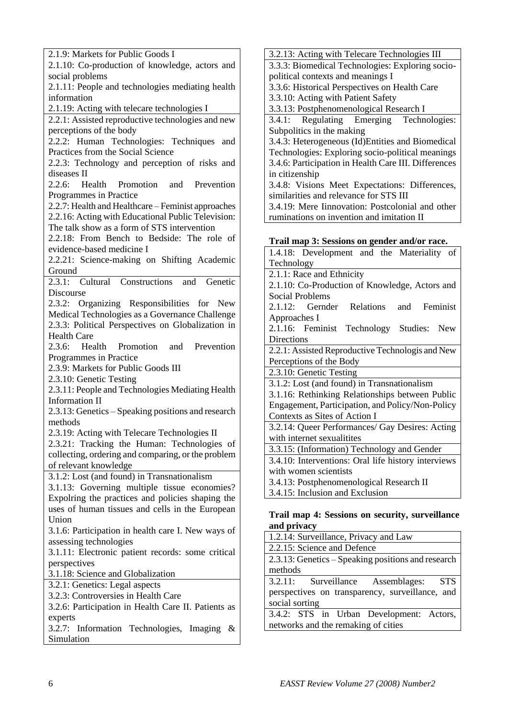2.1.9: Markets for Public Goods I 2.1.10: Co-production of knowledge, actors and social problems 2.1.11: People and technologies mediating health information 2.1.19: Acting with telecare technologies I 2.2.1: Assisted reproductive technologies and new perceptions of the body 2.2.2: Human Technologies: Techniques and Practices from the Social Science 2.2.3: Technology and perception of risks and diseases II 2.2.6: Health Promotion and Prevention Programmes in Practice 2.2.7: Health and Healthcare – Feminist approaches 2.2.16: Acting with Educational Public Television: The talk show as a form of STS intervention 2.2.18: From Bench to Bedside: The role of evidence-based medicine I 2.2.21: Science-making on Shifting Academic Ground 2.3.1: Cultural Constructions and Genetic Discourse 2.3.2: Organizing Responsibilities for New Medical Technologies as a Governance Challenge 2.3.3: Political Perspectives on Globalization in Health Care 2.3.6: Health Promotion and Prevention Programmes in Practice 2.3.9: Markets for Public Goods III 2.3.10: Genetic Testing 2.3.11: People and Technologies Mediating Health Information II 2.3.13: Genetics – Speaking positions and research methods 2.3.19: Acting with Telecare Technologies II 2.3.21: Tracking the Human: Technologies of collecting, ordering and comparing, or the problem of relevant knowledge 3.1.2: Lost (and found) in Transnationalism 3.1.13: Governing multiple tissue economies? Expolring the practices and policies shaping the uses of human tissues and cells in the European Union 3.1.6: Participation in health care I. New ways of assessing technologies 3.1.11: Electronic patient records: some critical perspectives 3.1.18: Science and Globalization 3.2.1: Genetics: Legal aspects 3.2.3: Controversies in Health Care 3.2.6: Participation in Health Care II. Patients as experts 3.2.7: Information Technologies, Imaging & Simulation

3.2.13: Acting with Telecare Technologies III 3.3.3: Biomedical Technologies: Exploring sociopolitical contexts and meanings I 3.3.6: Historical Perspectives on Health Care 3.3.10: Acting with Patient Safety 3.3.13: Postphenomenological Research I 3.4.1: Regulating Emerging Technologies: Subpolitics in the making 3.4.3: Heterogeneous (Id)Entities and Biomedical Technologies: Exploring socio-political meanings 3.4.6: Participation in Health Care III. Differences in citizenship 3.4.8: Visions Meet Expectations: Differences, similarities and relevance for STS III 3.4.19: Mere Iinnovation: Postcolonial and other ruminations on invention and imitation II

## **Trail map 3: Sessions on gender and/or race.**

| $\sim$                                              |
|-----------------------------------------------------|
| 1.4.18: Development and the Materiality of          |
| Technology                                          |
| 2.1.1: Race and Ethnicity                           |
| 2.1.10: Co-Production of Knowledge, Actors and      |
| Social Problems                                     |
| 2.1.12: Gernder Relations and Feminist              |
| Approaches I                                        |
| 2.1.16: Feminist Technology Studies: New            |
| Directions                                          |
| 2.2.1: Assisted Reproductive Technologis and New    |
| Perceptions of the Body                             |
| 2.3.10: Genetic Testing                             |
| 3.1.2: Lost (and found) in Transnationalism         |
| 3.1.16: Rethinking Relationships between Public     |
| Engagement, Participation, and Policy/Non-Policy    |
| Contexts as Sites of Action I                       |
| 3.2.14: Queer Performances/ Gay Desires: Acting     |
| with internet sexualitites                          |
| 3.3.15: (Information) Technology and Gender         |
| 3.4.10: Interventions: Oral life history interviews |
| with women scientists                               |
| 3.4.13: Postphenomenological Research II            |
| 3.4.15: Inclusion and Exclusion                     |
|                                                     |

## **Trail map 4: Sessions on security, surveillance and privacy**

| 1.2.14: Surveillance, Privacy and Law              |
|----------------------------------------------------|
| 2.2.15: Science and Defence                        |
| 2.3.13: Genetics – Speaking positions and research |
| methods                                            |
| 3.2.11: Surveillance Assemblages: STS              |
| perspectives on transparency, surveillance, and    |
| social sorting                                     |
| 3.4.2: STS in Urban Development: Actors,           |
| networks and the remaking of cities                |
|                                                    |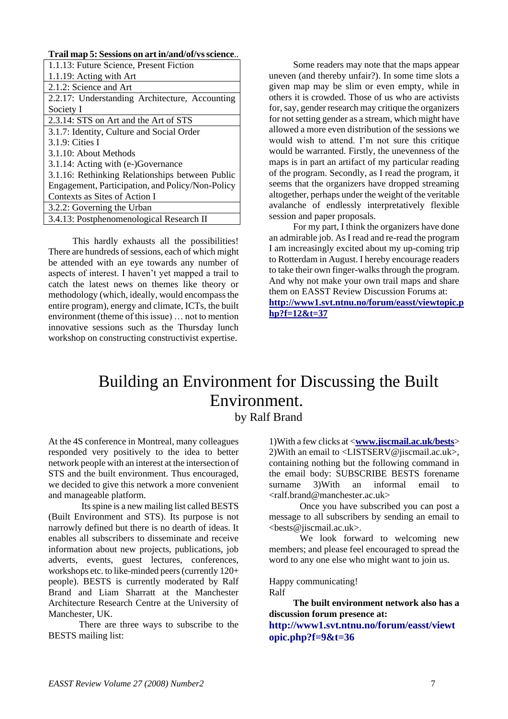## **Trail map 5: Sessions on art in/and/of/vs science**..

| 1.1.13: Future Science, Present Fiction          |
|--------------------------------------------------|
| 1.1.19: Acting with Art                          |
| 2.1.2: Science and Art                           |
| 2.2.17: Understanding Architecture, Accounting   |
| Society I                                        |
| 2.3.14: STS on Art and the Art of STS            |
| 3.1.7: Identity, Culture and Social Order        |
| 3.1.9: Cities I                                  |
| 3.1.10: About Methods                            |
| 3.1.14: Acting with (e-)Governance               |
| 3.1.16: Rethinking Relationships between Public  |
| Engagement, Participation, and Policy/Non-Policy |
| Contexts as Sites of Action I                    |
| 3.2.2: Governing the Urban                       |
| 3.4.13: Postphenomenological Research II         |

This hardly exhausts all the possibilities! There are hundreds of sessions, each of which might be attended with an eye towards any number of aspects of interest. I haven"t yet mapped a trail to catch the latest news on themes like theory or methodology (which, ideally, would encompass the entire program), energy and climate, ICTs, the built environment (theme of this issue) … not to mention innovative sessions such as the Thursday lunch workshop on constructing constructivist expertise.

Some readers may note that the maps appear uneven (and thereby unfair?). In some time slots a given map may be slim or even empty, while in others it is crowded. Those of us who are activists for, say, gender research may critique the organizers for not setting gender as a stream, which might have allowed a more even distribution of the sessions we would wish to attend. I"m not sure this critique would be warranted. Firstly, the unevenness of the maps is in part an artifact of my particular reading of the program. Secondly, as I read the program, it seems that the organizers have dropped streaming altogether, perhaps under the weight of the veritable avalanche of endlessly interpretatively flexible session and paper proposals.

For my part, I think the organizers have done an admirable job. As I read and re-read the program I am increasingly excited about my up-coming trip to Rotterdam in August. I hereby encourage readers to take their own finger-walks through the program. And why not make your own trail maps and share them on EASST Review Discussion Forums at: **[http://www1.svt.ntnu.no/forum/easst/viewtopic.p](http://www1.svt.ntnu.no/forum/easst/viewtopic.php?f=12&t=37) [hp?f=12&t=37](http://www1.svt.ntnu.no/forum/easst/viewtopic.php?f=12&t=37)**

## Building an Environment for Discussing the Built Environment. by Ralf Brand

At the 4S conference in Montreal, many colleagues responded very positively to the idea to better network people with an interest at the intersection of STS and the built environment. Thus encouraged, we decided to give this network a more convenient and manageable platform.

Its spine is a new mailing list called BESTS (Built Environment and STS). Its purpose is not narrowly defined but there is no dearth of ideas. It enables all subscribers to disseminate and receive information about new projects, publications, job adverts, events, guest lectures, conferences, workshops etc. to like-minded peers (currently 120+ people). BESTS is currently moderated by Ralf Brand and Liam Sharratt at the Manchester Architecture Research Centre at the University of Manchester, UK.

There are three ways to subscribe to the BESTS mailing list:

1)With a few clicks at <**[www.jiscmail.ac.uk/bests](https://mail.ad.svt.ntnu.no/exchange/annrs/Innboks/No%20Subject-1559.EML/EASST%20Review%20June%202008%20emergency%20copy.doc/C58EA28C-18C0-4a97-9AF2-036E93DDAFB3/www.jiscmail.ac.uk/bests)**> 2)With an email to <LISTSERV@jiscmail.ac.uk>, containing nothing but the following command in the email body: SUBSCRIBE BESTS forename surname 3)With an informal email to <ralf.brand@manchester.ac.uk>

Once you have subscribed you can post a message to all subscribers by sending an email to <bests@jiscmail.ac.uk>.

We look forward to welcoming new members; and please feel encouraged to spread the word to any one else who might want to join us.

## Happy communicating!

Ralf

**The built environment network also has a discussion forum presence at:**

**http://www1.svt.ntnu.no/forum/easst/viewt opic.php?f=9&t=36**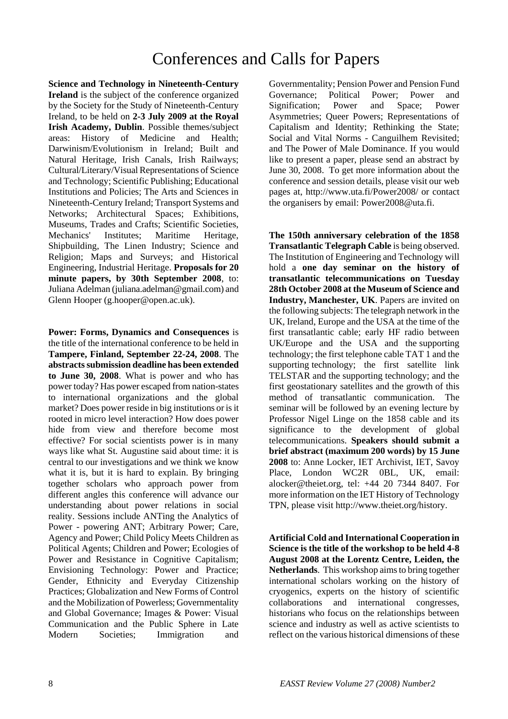# Conferences and Calls for Papers

**Science and Technology in Nineteenth-Century Ireland** is the subject of the conference organized by the Society for the Study of Nineteenth-Century Ireland, to be held on **2-3 July 2009 at the Royal Irish Academy, Dublin**. Possible themes/subject areas: History of Medicine and Health; Darwinism/Evolutionism in Ireland; Built and Natural Heritage, Irish Canals, Irish Railways; Cultural/Literary/Visual Representations of Science and Technology; Scientific Publishing; Educational Institutions and Policies; The Arts and Sciences in Nineteenth-Century Ireland; Transport Systems and Networks; Architectural Spaces; Exhibitions, Museums, Trades and Crafts; Scientific Societies, Mechanics' Institutes; Maritime Heritage, Shipbuilding, The Linen Industry; Science and Religion; Maps and Surveys; and Historical Engineering, Industrial Heritage. **Proposals for 20 minute papers, by 30th September 2008**, to: Juliana Adelman (juliana.adelman@gmail.com) and Glenn Hooper (g.hooper@open.ac.uk).

**Power: Forms, Dynamics and Consequences** is the title of the international conference to be held in **Tampere, Finland, September 22-24, 2008**. The **abstracts submission deadline has been extended to June 30, 2008**. What is power and who has power today? Has power escaped from nation-states to international organizations and the global market? Does power reside in big institutions or is it rooted in micro level interaction? How does power hide from view and therefore become most effective? For social scientists power is in many ways like what St. Augustine said about time: it is central to our investigations and we think we know what it is, but it is hard to explain. By bringing together scholars who approach power from different angles this conference will advance our understanding about power relations in social reality. Sessions include ANTing the Analytics of Power - powering ANT; Arbitrary Power; Care, Agency and Power; Child Policy Meets Children as Political Agents; Children and Power; Ecologies of Power and Resistance in Cognitive Capitalism; Envisioning Technology: Power and Practice; Gender, Ethnicity and Everyday Citizenship Practices; Globalization and New Forms of Control and the Mobilization of Powerless; Governmentality and Global Governance; Images & Power: Visual Communication and the Public Sphere in Late Modern Societies; Immigration and

Governmentality; Pension Power and Pension Fund Governance; Political Power; Power and Signification; Power and Space; Power Asymmetries; Queer Powers; Representations of Capitalism and Identity; Rethinking the State; Social and Vital Norms - Canguilhem Revisited; and The Power of Male Dominance. If you would like to present a paper, please send an abstract by June 30, 2008. To get more information about the conference and session details, please visit our web pages at, http://www.uta.fi/Power2008/ or contact the organisers by email: Power2008@uta.fi.

**The 150th anniversary celebration of the 1858 Transatlantic Telegraph Cable** is being observed. The Institution of Engineering and Technology will hold a **one day seminar on the history of transatlantic telecommunications on Tuesday 28th October 2008 at the Museum of Science and Industry, Manchester, UK**. Papers are invited on the following subjects: The telegraph network in the UK, Ireland, Europe and the USA at the time of the first transatlantic cable; early HF radio between UK/Europe and the USA and the supporting technology; the first telephone cable TAT 1 and the supporting technology; the first satellite link TELSTAR and the supporting technology; and the first geostationary satellites and the growth of this method of transatlantic communication. The seminar will be followed by an evening lecture by Professor Nigel Linge on the 1858 cable and its significance to the development of global telecommunications. **Speakers should submit a brief abstract (maximum 200 words) by 15 June 2008** to: Anne Locker, IET Archivist, IET, Savoy Place, London WC2R 0BL, UK, email: alocker@theiet.org, tel: +44 20 7344 8407. For more information on the IET History of Technology TPN, please visit http://www.theiet.org/history.

**Artificial Cold and International Cooperation in Science is the title of the workshop to be held 4-8 August 2008 at the Lorentz Centre, Leiden, the Netherlands**. This workshop aims to bring together international scholars working on the history of cryogenics, experts on the history of scientific collaborations and international congresses, historians who focus on the relationships between science and industry as well as active scientists to reflect on the various historical dimensions of these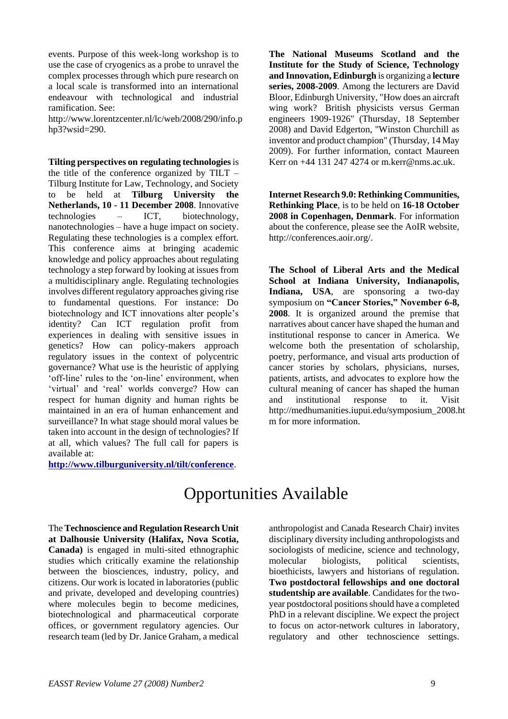events. Purpose of this week-long workshop is to use the case of cryogenics as a probe to unravel the complex processes through which pure research on a local scale is transformed into an international endeavour with technological and industrial ramification. See:

http://www.lorentzcenter.nl/lc/web/2008/290/info.p hp3?wsid= $290$ .

**Tilting perspectives on regulating technologies**is the title of the conference organized by TILT – Tilburg Institute for Law, Technology, and Society to be held at **Tilburg University the Netherlands, 10 - 11 December 2008**. Innovative technologies – ICT, biotechnology, nanotechnologies – have a huge impact on society. Regulating these technologies is a complex effort. This conference aims at bringing academic knowledge and policy approaches about regulating technology a step forward by looking at issues from a multidisciplinary angle. Regulating technologies involves different regulatory approaches giving rise to fundamental questions. For instance: Do biotechnology and ICT innovations alter people"s identity? Can ICT regulation profit from experiences in dealing with sensitive issues in genetics? How can policy-makers approach regulatory issues in the context of polycentric governance? What use is the heuristic of applying 'off-line' rules to the 'on-line' environment, when 'virtual' and 'real' worlds converge? How can respect for human dignity and human rights be maintained in an era of human enhancement and surveillance? In what stage should moral values be taken into account in the design of technologies? If at all, which values? The full call for papers is available at:

**<http://www.tilburguniversity.nl/tilt/conference>**.

**The National Museums Scotland and the Institute for the Study of Science, Technology and Innovation, Edinburgh** is organizing a **lecture series, 2008-2009**. Among the lecturers are David Bloor, Edinburgh University, "How does an aircraft wing work? British physicists versus German engineers 1909-1926" (Thursday, 18 September 2008) and David Edgerton, "Winston Churchill as inventor and product champion" (Thursday, 14 May 2009). For further information, contact Maureen Kerr on +44 131 247 4274 or m.kerr@nms.ac.uk.

**Internet Research 9.0: Rethinking Communities, Rethinking Place**, is to be held on **16-18 October 2008 in Copenhagen, Denmark**. For information about the conference, please see the AoIR website, http://conferences.aoir.org/.

**The School of Liberal Arts and the Medical School at Indiana University, Indianapolis, Indiana, USA**, are sponsoring a two-day symposium on **"Cancer Stories," November 6-8, 2008**. It is organized around the premise that narratives about cancer have shaped the human and institutional response to cancer in America. We welcome both the presentation of scholarship, poetry, performance, and visual arts production of cancer stories by scholars, physicians, nurses, patients, artists, and advocates to explore how the cultural meaning of cancer has shaped the human and institutional response to it. Visit http://medhumanities.iupui.edu/symposium\_2008.ht m for more information.

# Opportunities Available

The **Technoscience and Regulation Research Unit at Dalhousie University (Halifax, Nova Scotia, Canada)** is engaged in multi-sited ethnographic studies which critically examine the relationship between the biosciences, industry, policy, and citizens. Our work is located in laboratories (public and private, developed and developing countries) where molecules begin to become medicines, biotechnological and pharmaceutical corporate offices, or government regulatory agencies. Our research team (led by Dr. Janice Graham, a medical

anthropologist and Canada Research Chair) invites disciplinary diversity including anthropologists and sociologists of medicine, science and technology, molecular biologists, political scientists, bioethicists, lawyers and historians of regulation. **Two postdoctoral fellowships and one doctoral studentship are available**. Candidates for the twoyear postdoctoral positions should have a completed PhD in a relevant discipline. We expect the project to focus on actor-network cultures in laboratory, regulatory and other technoscience settings.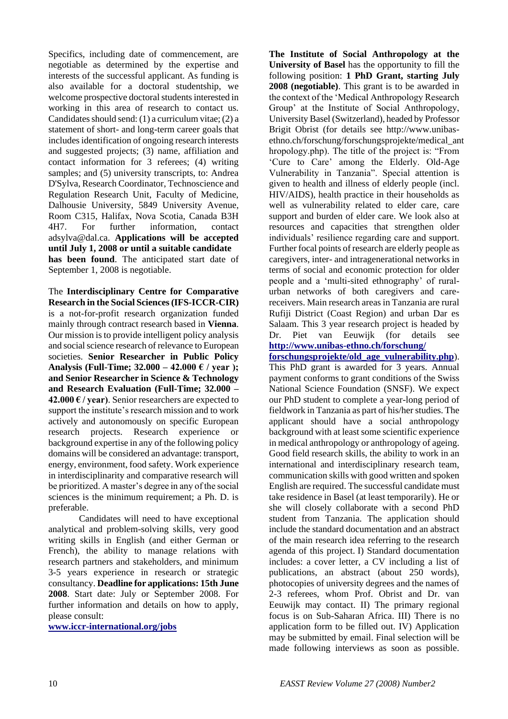Specifics, including date of commencement, are negotiable as determined by the expertise and interests of the successful applicant. As funding is also available for a doctoral studentship, we welcome prospective doctoral students interested in working in this area of research to contact us. Candidates should send: (1) a curriculum vitae; (2) a statement of short- and long-term career goals that includes identification of ongoing research interests and suggested projects; (3) name, affiliation and contact information for 3 referees; (4) writing samples; and (5) university transcripts, to: Andrea D'Sylva, Research Coordinator, Technoscience and Regulation Research Unit, Faculty of Medicine, Dalhousie University, 5849 University Avenue, Room C315, Halifax, Nova Scotia, Canada B3H 4H7. For further information, contact adsylva@dal.ca. **Applications will be accepted until July 1, 2008 or until a suitable candidate has been found**. The anticipated start date of September 1, 2008 is negotiable.

The **Interdisciplinary Centre for Comparative Research in the Social Sciences (IFS-ICCR-CIR)** is a not-for-profit research organization funded mainly through contract research based in **Vienna**. Our mission is to provide intelligent policy analysis and social science research of relevance to European societies. **Senior Researcher in Public Policy Analysis (Full-Time; 32.000 – 42.000 € / year ); and Senior Researcher in Science & Technology and Research Evaluation (Full-Time; 32.000 – 42.000 € / year)**. Senior researchers are expected to support the institute's research mission and to work actively and autonomously on specific European research projects. Research experience or background expertise in any of the following policy domains will be considered an advantage: transport, energy, environment, food safety. Work experience in interdisciplinarity and comparative research will be prioritized. A master"s degree in any of the social sciences is the minimum requirement; a Ph. D. is preferable.

Candidates will need to have exceptional analytical and problem-solving skills, very good writing skills in English (and either German or French), the ability to manage relations with research partners and stakeholders, and minimum 3-5 years experience in research or strategic consultancy. **Deadline for applications: 15th June 2008**. Start date: July or September 2008. For further information and details on how to apply, please consult:

**[www.iccr-international.org/jobs](http://www.iccr-international.org/jobs)**

**The Institute of Social Anthropology at the University of Basel** has the opportunity to fill the following position: **1 PhD Grant, starting July 2008 (negotiable)**. This grant is to be awarded in the context of the "Medical Anthropology Research Group" at the Institute of Social Anthropology, University Basel (Switzerland), headed by Professor Brigit Obrist (for details see http://www.unibasethno.ch/forschung/forschungsprojekte/medical\_ant hropology.php). The title of the project is: "From "Cure to Care" among the Elderly. Old-Age Vulnerability in Tanzania". Special attention is given to health and illness of elderly people (incl. HIV/AIDS), health practice in their households as well as vulnerability related to elder care, care support and burden of elder care. We look also at resources and capacities that strengthen older individuals" resilience regarding care and support. Further focal points of research are elderly people as caregivers, inter- and intragenerational networks in terms of social and economic protection for older people and a "multi-sited ethnography" of ruralurban networks of both caregivers and carereceivers. Main research areas in Tanzania are rural Rufiji District (Coast Region) and urban Dar es Salaam. This 3 year research project is headed by Dr. Piet van Eeuwijk (for details see **[http://www.unibas-ethno.ch/forschung/](http://www.unibas-ethno.ch/forschung/%20forschungsprojekte/old_age_vulnerability.php)** 

**[forschungsprojekte/old\\_age\\_vulnerability.php](http://www.unibas-ethno.ch/forschung/%20forschungsprojekte/old_age_vulnerability.php)**). This PhD grant is awarded for 3 years. Annual payment conforms to grant conditions of the Swiss National Science Foundation (SNSF). We expect our PhD student to complete a year-long period of fieldwork in Tanzania as part of his/her studies. The applicant should have a social anthropology background with at least some scientific experience in medical anthropology or anthropology of ageing. Good field research skills, the ability to work in an international and interdisciplinary research team, communication skills with good written and spoken English are required. The successful candidate must take residence in Basel (at least temporarily). He or she will closely collaborate with a second PhD student from Tanzania. The application should include the standard documentation and an abstract of the main research idea referring to the research agenda of this project. I) Standard documentation includes: a cover letter, a CV including a list of publications, an abstract (about 250 words), photocopies of university degrees and the names of 2-3 referees, whom Prof. Obrist and Dr. van Eeuwijk may contact. II) The primary regional focus is on Sub-Saharan Africa. III) There is no application form to be filled out. IV) Application may be submitted by email. Final selection will be made following interviews as soon as possible.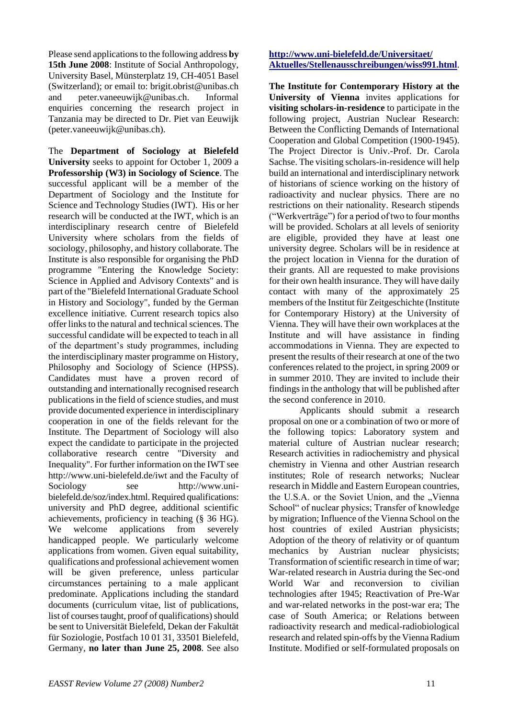Please send applications to the following address **by 15th June 2008**: Institute of Social Anthropology, University Basel, Münsterplatz 19, CH-4051 Basel (Switzerland); or email to: brigit.obrist@unibas.ch and peter.vaneeuwijk@unibas.ch. Informal enquiries concerning the research project in Tanzania may be directed to Dr. Piet van Eeuwijk (peter.vaneeuwijk@unibas.ch).

The **Department of Sociology at Bielefeld University** seeks to appoint for October 1, 2009 a **Professorship (W3) in Sociology of Science**. The successful applicant will be a member of the Department of Sociology and the Institute for Science and Technology Studies (IWT). His or her research will be conducted at the IWT, which is an interdisciplinary research centre of Bielefeld University where scholars from the fields of sociology, philosophy, and history collaborate. The Institute is also responsible for organising the PhD programme "Entering the Knowledge Society: Science in Applied and Advisory Contexts" and is part of the "Bielefeld International Graduate School in History and Sociology", funded by the German excellence initiative. Current research topics also offer links to the natural and technical sciences. The successful candidate will be expected to teach in all of the department"s study programmes, including the interdisciplinary master programme on History, Philosophy and Sociology of Science (HPSS). Candidates must have a proven record of outstanding and internationally recognised research publications in the field of science studies, and must provide documented experience in interdisciplinary cooperation in one of the fields relevant for the Institute. The Department of Sociology will also expect the candidate to participate in the projected collaborative research centre "Diversity and Inequality". For further information on the IWT see http://www.uni-bielefeld.de/iwt and the Faculty of Sociology see http://www.unibielefeld.de/soz/index.html. Required qualifications: university and PhD degree, additional scientific achievements, proficiency in teaching (§ 36 HG). We welcome applications from severely handicapped people. We particularly welcome applications from women. Given equal suitability, qualifications and professional achievement women will be given preference, unless particular circumstances pertaining to a male applicant predominate. Applications including the standard documents (curriculum vitae, list of publications, list of courses taught, proof of qualifications) should be sent to Universität Bielefeld, Dekan der Fakultät für Soziologie, Postfach 10 01 31, 33501 Bielefeld, Germany, **no later than June 25, 2008**. See also

## **[http://www.uni-bielefeld.de/Universitaet/](http://www.uni-bielefeld.de/Universitaet/%20Aktuelles/Stellenausschreibungen/wiss991.html)  [Aktuelles/Stellenausschreibungen/wiss991.html](http://www.uni-bielefeld.de/Universitaet/%20Aktuelles/Stellenausschreibungen/wiss991.html)**.

**The Institute for Contemporary History at the University of Vienna** invites applications for **visiting scholars-in-residence** to participate in the following project, Austrian Nuclear Research: Between the Conflicting Demands of International Cooperation and Global Competition (1900-1945). The Project Director is Univ.-Prof. Dr. Carola Sachse. The visiting scholars-in-residence will help build an international and interdisciplinary network of historians of science working on the history of radioactivity and nuclear physics. There are no restrictions on their nationality. Research stipends ("Werkverträge") for a period of two to four months will be provided. Scholars at all levels of seniority are eligible, provided they have at least one university degree. Scholars will be in residence at the project location in Vienna for the duration of their grants. All are requested to make provisions for their own health insurance. They will have daily contact with many of the approximately 25 members of the Institut für Zeitgeschichte (Institute for Contemporary History) at the University of Vienna. They will have their own workplaces at the Institute and will have assistance in finding accommodations in Vienna. They are expected to present the results of their research at one of the two conferences related to the project, in spring 2009 or in summer 2010. They are invited to include their findings in the anthology that will be published after the second conference in 2010.

Applicants should submit a research proposal on one or a combination of two or more of the following topics: Laboratory system and material culture of Austrian nuclear research; Research activities in radiochemistry and physical chemistry in Vienna and other Austrian research institutes; Role of research networks; Nuclear research in Middle and Eastern European countries, the U.S.A. or the Soviet Union, and the "Vienna School" of nuclear physics; Transfer of knowledge by migration; Influence of the Vienna School on the host countries of exiled Austrian physicists; Adoption of the theory of relativity or of quantum mechanics by Austrian nuclear physicists; Transformation of scientific research in time of war; War-related research in Austria during the Sec-ond World War and reconversion to civilian technologies after 1945; Reactivation of Pre-War and war-related networks in the post-war era; The case of South America; or Relations between radioactivity research and medical-radiobiological research and related spin-offs by the Vienna Radium Institute. Modified or self-formulated proposals on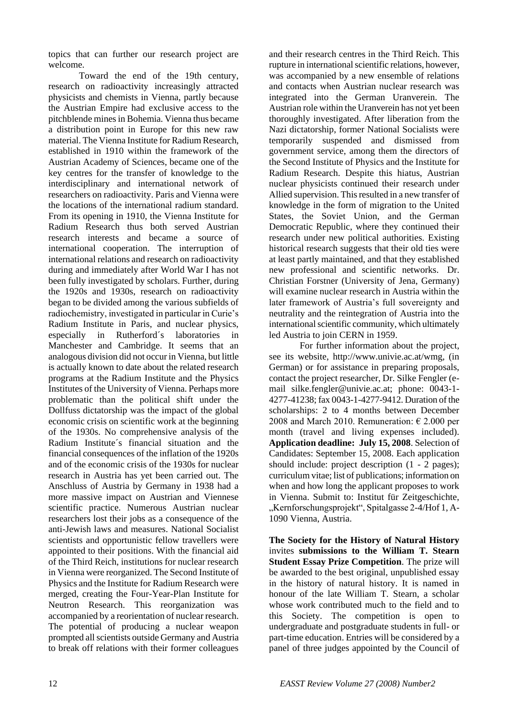topics that can further our research project are welcome.

Toward the end of the 19th century, research on radioactivity increasingly attracted physicists and chemists in Vienna, partly because the Austrian Empire had exclusive access to the pitchblende mines in Bohemia. Vienna thus became a distribution point in Europe for this new raw material. The Vienna Institute for Radium Research, established in 1910 within the framework of the Austrian Academy of Sciences, became one of the key centres for the transfer of knowledge to the interdisciplinary and international network of researchers on radioactivity. Paris and Vienna were the locations of the international radium standard. From its opening in 1910, the Vienna Institute for Radium Research thus both served Austrian research interests and became a source of international cooperation. The interruption of international relations and research on radioactivity during and immediately after World War I has not been fully investigated by scholars. Further, during the 1920s and 1930s, research on radioactivity began to be divided among the various subfields of radiochemistry, investigated in particular in Curie"s Radium Institute in Paris, and nuclear physics, especially in Rutherford´s laboratories in Manchester and Cambridge. It seems that an analogous division did not occur in Vienna, but little is actually known to date about the related research programs at the Radium Institute and the Physics Institutes of the University of Vienna. Perhaps more problematic than the political shift under the Dollfuss dictatorship was the impact of the global economic crisis on scientific work at the beginning of the 1930s. No comprehensive analysis of the Radium Institute´s financial situation and the financial consequences of the inflation of the 1920s and of the economic crisis of the 1930s for nuclear research in Austria has yet been carried out. The Anschluss of Austria by Germany in 1938 had a more massive impact on Austrian and Viennese scientific practice. Numerous Austrian nuclear researchers lost their jobs as a consequence of the anti-Jewish laws and measures. National Socialist scientists and opportunistic fellow travellers were appointed to their positions. With the financial aid of the Third Reich, institutions for nuclear research in Vienna were reorganized. The Second Institute of Physics and the Institute for Radium Research were merged, creating the Four-Year-Plan Institute for Neutron Research. This reorganization was accompanied by a reorientation of nuclear research. The potential of producing a nuclear weapon prompted all scientists outside Germany and Austria to break off relations with their former colleagues

and their research centres in the Third Reich. This rupture in international scientific relations, however, was accompanied by a new ensemble of relations and contacts when Austrian nuclear research was integrated into the German Uranverein. The Austrian role within the Uranverein has not yet been thoroughly investigated. After liberation from the Nazi dictatorship, former National Socialists were temporarily suspended and dismissed from government service, among them the directors of the Second Institute of Physics and the Institute for Radium Research. Despite this hiatus, Austrian nuclear physicists continued their research under Allied supervision. This resulted in a new transfer of knowledge in the form of migration to the United States, the Soviet Union, and the German Democratic Republic, where they continued their research under new political authorities. Existing historical research suggests that their old ties were at least partly maintained, and that they established new professional and scientific networks. Dr. Christian Forstner (University of Jena, Germany) will examine nuclear research in Austria within the later framework of Austria's full sovereignty and neutrality and the reintegration of Austria into the international scientific community, which ultimately led Austria to join CERN in 1959.

For further information about the project, see its website, http://www.univie.ac.at/wmg, (in German) or for assistance in preparing proposals, contact the project researcher, Dr. Silke Fengler (email silke.fengler@univie.ac.at; phone: 0043-1- 4277-41238; fax 0043-1-4277-9412. Duration of the scholarships: 2 to 4 months between December 2008 and March 2010. Remuneration:  $\epsilon$  2.000 per month (travel and living expenses included). **Application deadline: July 15, 2008**. Selection of Candidates: September 15, 2008. Each application should include: project description (1 - 2 pages); curriculum vitae; list of publications; information on when and how long the applicant proposes to work in Vienna. Submit to: Institut für Zeitgeschichte, "Kernforschungsprojekt", Spitalgasse 2-4/Hof 1, A-1090 Vienna, Austria.

**The Society for the History of Natural History** invites **submissions to the William T. Stearn Student Essay Prize Competition**. The prize will be awarded to the best original, unpublished essay in the history of natural history. It is named in honour of the late William T. Stearn, a scholar whose work contributed much to the field and to this Society. The competition is open to undergraduate and postgraduate students in full- or part-time education. Entries will be considered by a panel of three judges appointed by the Council of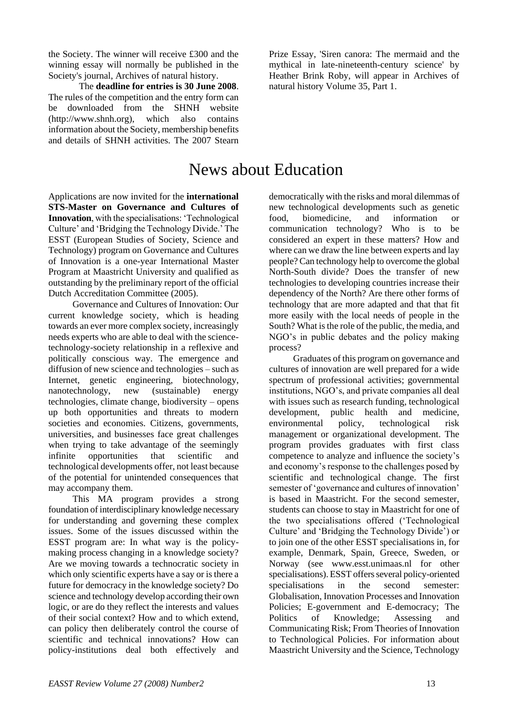the Society. The winner will receive £300 and the winning essay will normally be published in the Society's journal, Archives of natural history.

The **deadline for entries is 30 June 2008**. The rules of the competition and the entry form can be downloaded from the SHNH website (http://www.shnh.org), which also contains information about the Society, membership benefits and details of SHNH activities. The 2007 Stearn

Prize Essay, 'Siren canora: The mermaid and the mythical in late-nineteenth-century science' by Heather Brink Roby, will appear in Archives of natural history Volume 35, Part 1.

# News about Education

Applications are now invited for the **international STS-Master on Governance and Cultures of Innovation**, with the specialisations: "Technological Culture" and "Bridging the Technology Divide." The ESST (European Studies of Society, Science and Technology) program on Governance and Cultures of Innovation is a one-year International Master Program at Maastricht University and qualified as outstanding by the preliminary report of the official Dutch Accreditation Committee (2005).

Governance and Cultures of Innovation: Our current knowledge society, which is heading towards an ever more complex society, increasingly needs experts who are able to deal with the sciencetechnology-society relationship in a reflexive and politically conscious way. The emergence and diffusion of new science and technologies – such as Internet, genetic engineering, biotechnology, nanotechnology, new (sustainable) energy technologies, climate change, biodiversity – opens up both opportunities and threats to modern societies and economies. Citizens, governments, universities, and businesses face great challenges when trying to take advantage of the seemingly infinite opportunities that scientific and technological developments offer, not least because of the potential for unintended consequences that may accompany them.

This MA program provides a strong foundation of interdisciplinary knowledge necessary for understanding and governing these complex issues. Some of the issues discussed within the ESST program are: In what way is the policymaking process changing in a knowledge society? Are we moving towards a technocratic society in which only scientific experts have a say or is there a future for democracy in the knowledge society? Do science and technology develop according their own logic, or are do they reflect the interests and values of their social context? How and to which extend, can policy then deliberately control the course of scientific and technical innovations? How can policy-institutions deal both effectively and

democratically with the risks and moral dilemmas of new technological developments such as genetic food, biomedicine, and information or communication technology? Who is to be considered an expert in these matters? How and where can we draw the line between experts and lay people? Can technology help to overcome the global North-South divide? Does the transfer of new technologies to developing countries increase their dependency of the North? Are there other forms of technology that are more adapted and that that fit more easily with the local needs of people in the South? What is the role of the public, the media, and NGO"s in public debates and the policy making process?

Graduates of this program on governance and cultures of innovation are well prepared for a wide spectrum of professional activities; governmental institutions, NGO"s, and private companies all deal with issues such as research funding, technological development, public health and medicine, environmental policy, technological risk management or organizational development. The program provides graduates with first class competence to analyze and influence the society"s and economy"s response to the challenges posed by scientific and technological change. The first semester of 'governance and cultures of innovation' is based in Maastricht. For the second semester, students can choose to stay in Maastricht for one of the two specialisations offered ("Technological Culture" and "Bridging the Technology Divide") or to join one of the other ESST specialisations in, for example, Denmark, Spain, Greece, Sweden, or Norway (see www.esst.unimaas.nl for other specialisations). ESST offers several policy-oriented specialisations in the second semester: Globalisation, Innovation Processes and Innovation Policies; E-government and E-democracy; The Politics of Knowledge; Assessing and Communicating Risk; From Theories of Innovation to Technological Policies. For information about Maastricht University and the Science, Technology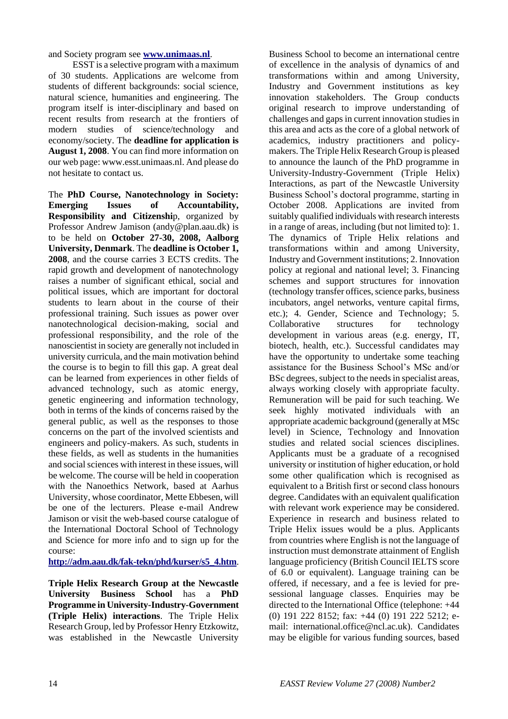and Society program see **[www.unimaas.nl](http://www.unimaas.nl/)**.

ESST is a selective program with a maximum of 30 students. Applications are welcome from students of different backgrounds: social science, natural science, humanities and engineering. The program itself is inter-disciplinary and based on recent results from research at the frontiers of modern studies of science/technology and economy/society. The **deadline for application is August 1, 2008**. You can find more information on our web page: www.esst.unimaas.nl. And please do not hesitate to contact us.

The **PhD Course, Nanotechnology in Society: Emerging Issues of Accountability, Responsibility and Citizenshi**p, organized by Professor Andrew Jamison (andy@plan.aau.dk) is to be held on **October 27-30, 2008, Aalborg University, Denmark**. The **deadline is October 1, 2008**, and the course carries 3 ECTS credits. The rapid growth and development of nanotechnology raises a number of significant ethical, social and political issues, which are important for doctoral students to learn about in the course of their professional training. Such issues as power over nanotechnological decision-making, social and professional responsibility, and the role of the nanoscientist in society are generally not included in university curricula, and the main motivation behind the course is to begin to fill this gap. A great deal can be learned from experiences in other fields of advanced technology, such as atomic energy, genetic engineering and information technology, both in terms of the kinds of concerns raised by the general public, as well as the responses to those concerns on the part of the involved scientists and engineers and policy-makers. As such, students in these fields, as well as students in the humanities and social sciences with interest in these issues, will be welcome. The course will be held in cooperation with the Nanoethics Network, based at Aarhus University, whose coordinator, Mette Ebbesen, will be one of the lecturers. Please e-mail Andrew Jamison or visit the web-based course catalogue of the International Doctoral School of Technology and Science for more info and to sign up for the course:

**[http://adm.aau.dk/fak-tekn/phd/kurser/s5\\_4.htm](http://adm.aau.dk/fak-tekn/phd/kurser/s5_4.htm)**.

**Triple Helix Research Group at the Newcastle University Business School** has a **PhD Programme in University-Industry-Government (Triple Helix) interactions**. The Triple Helix Research Group, led by Professor Henry Etzkowitz, was established in the Newcastle University

Business School to become an international centre of excellence in the analysis of dynamics of and transformations within and among University, Industry and Government institutions as key innovation stakeholders. The Group conducts original research to improve understanding of challenges and gaps in current innovation studies in this area and acts as the core of a global network of academics, industry practitioners and policymakers. The Triple Helix Research Group is pleased to announce the launch of the PhD programme in University-Industry-Government (Triple Helix) Interactions, as part of the Newcastle University Business School"s doctoral programme, starting in October 2008. Applications are invited from suitably qualified individuals with research interests in a range of areas, including (but not limited to): 1. The dynamics of Triple Helix relations and transformations within and among University, Industry and Government institutions; 2. Innovation policy at regional and national level; 3. Financing schemes and support structures for innovation (technology transfer offices, science parks, business incubators, angel networks, venture capital firms, etc.); 4. Gender, Science and Technology; 5. Collaborative structures for technology development in various areas (e.g. energy, IT, biotech, health, etc.). Successful candidates may have the opportunity to undertake some teaching assistance for the Business School"s MSc and/or BSc degrees, subject to the needs in specialist areas, always working closely with appropriate faculty. Remuneration will be paid for such teaching. We seek highly motivated individuals with an appropriate academic background (generally at MSc level) in Science, Technology and Innovation studies and related social sciences disciplines. Applicants must be a graduate of a recognised university or institution of higher education, or hold some other qualification which is recognised as equivalent to a British first or second class honours degree. Candidates with an equivalent qualification with relevant work experience may be considered. Experience in research and business related to Triple Helix issues would be a plus. Applicants from countries where English is not the language of instruction must demonstrate attainment of English language proficiency (British Council IELTS score of 6.0 or equivalent). Language training can be offered, if necessary, and a fee is levied for presessional language classes. Enquiries may be directed to the International Office (telephone: +44 (0) 191 222 8152; fax: +44 (0) 191 222 5212; email: international.office@ncl.ac.uk). Candidates may be eligible for various funding sources, based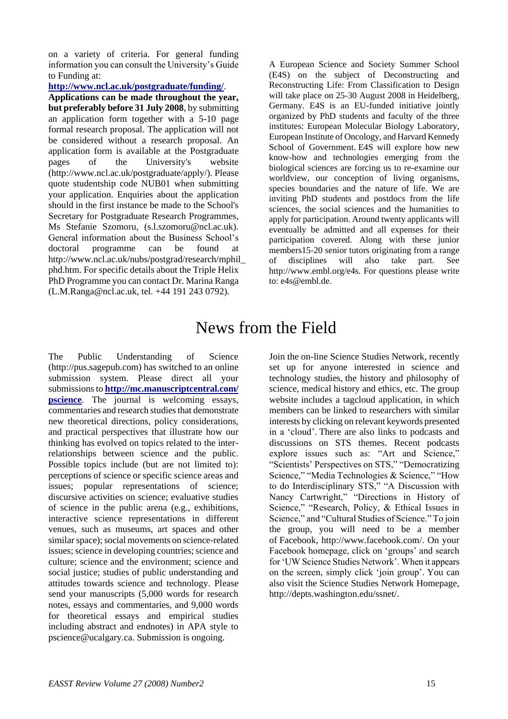on a variety of criteria. For general funding information you can consult the University"s Guide to Funding at:

### **<http://www.ncl.ac.uk/postgraduate/funding/>**.

**Applications can be made throughout the year, but preferably before 31 July 2008**, by submitting an application form together with a 5-10 page formal research proposal. The application will not be considered without a research proposal. An application form is available at the Postgraduate pages of the University's website (http://www.ncl.ac.uk/postgraduate/apply/). Please quote studentship code NUB01 when submitting your application. Enquiries about the application should in the first instance be made to the School's Secretary for Postgraduate Research Programmes, Ms Stefanie Szomoru, (s.l.szomoru@ncl.ac.uk). General information about the Business School"s doctoral programme can be found at http://www.ncl.ac.uk/nubs/postgrad/research/mphil\_ phd.htm. For specific details about the Triple Helix PhD Programme you can contact Dr. Marina Ranga (L.M.Ranga@ncl.ac.uk, tel. +44 191 243 0792).

A European Science and Society Summer School (E4S) on the subject of Deconstructing and Reconstructing Life: From Classification to Design will take place on 25-30 August 2008 in Heidelberg, Germany. E4S is an EU-funded initiative jointly organized by PhD students and faculty of the three institutes: European Molecular Biology Laboratory, European Institute of Oncology, and Harvard Kennedy School of Government. E4S will explore how new know-how and technologies emerging from the biological sciences are forcing us to re-examine our worldview, our conception of living organisms, species boundaries and the nature of life. We are inviting PhD students and postdocs from the life sciences, the social sciences and the humanities to apply for participation. Around twenty applicants will eventually be admitted and all expenses for their participation covered. Along with these junior members15-20 senior tutors originating from a range of disciplines will also take part. See http://www.embl.org/e4s. For questions please write to: e4s@embl.de.

# News from the Field

The Public Understanding of Science (http://pus.sagepub.com) has switched to an online submission system. Please direct all your submissions to **[http://mc.manuscriptcentral.com/](http://mc.manuscriptcentral.com/%20pscience)  [pscience](http://mc.manuscriptcentral.com/%20pscience)**. The journal is welcoming essays, commentaries and research studies that demonstrate new theoretical directions, policy considerations, and practical perspectives that illustrate how our thinking has evolved on topics related to the interrelationships between science and the public. Possible topics include (but are not limited to): perceptions of science or specific science areas and issues; popular representations of science; discursive activities on science; evaluative studies of science in the public arena (e.g., exhibitions, interactive science representations in different venues, such as museums, art spaces and other similar space); social movements on science-related issues; science in developing countries; science and culture; science and the environment; science and social justice; studies of public understanding and attitudes towards science and technology. Please send your manuscripts (5,000 words for research notes, essays and commentaries, and 9,000 words for theoretical essays and empirical studies including abstract and endnotes) in APA style to pscience@ucalgary.ca. Submission is ongoing.

Join the on-line Science Studies Network, recently set up for anyone interested in science and technology studies, the history and philosophy of science, medical history and ethics, etc. The group website includes a tagcloud application, in which members can be linked to researchers with similar interests by clicking on relevant keywords presented in a "cloud". There are also links to podcasts and discussions on STS themes. Recent podcasts explore issues such as: "Art and Science," "Scientists" Perspectives on STS," "Democratizing Science," "Media Technologies & Science," "How to do Interdisciplinary STS," "A Discussion with Nancy Cartwright," "Directions in History of Science," "Research, Policy, & Ethical Issues in Science," and "Cultural Studies of Science." To join the group, you will need to be a member of Facebook, http://www.facebook.com/. On your Facebook homepage, click on 'groups' and search for "UW Science Studies Network". When it appears on the screen, simply click "join group". You can also visit the Science Studies Network Homepage, http://depts.washington.edu/ssnet/.